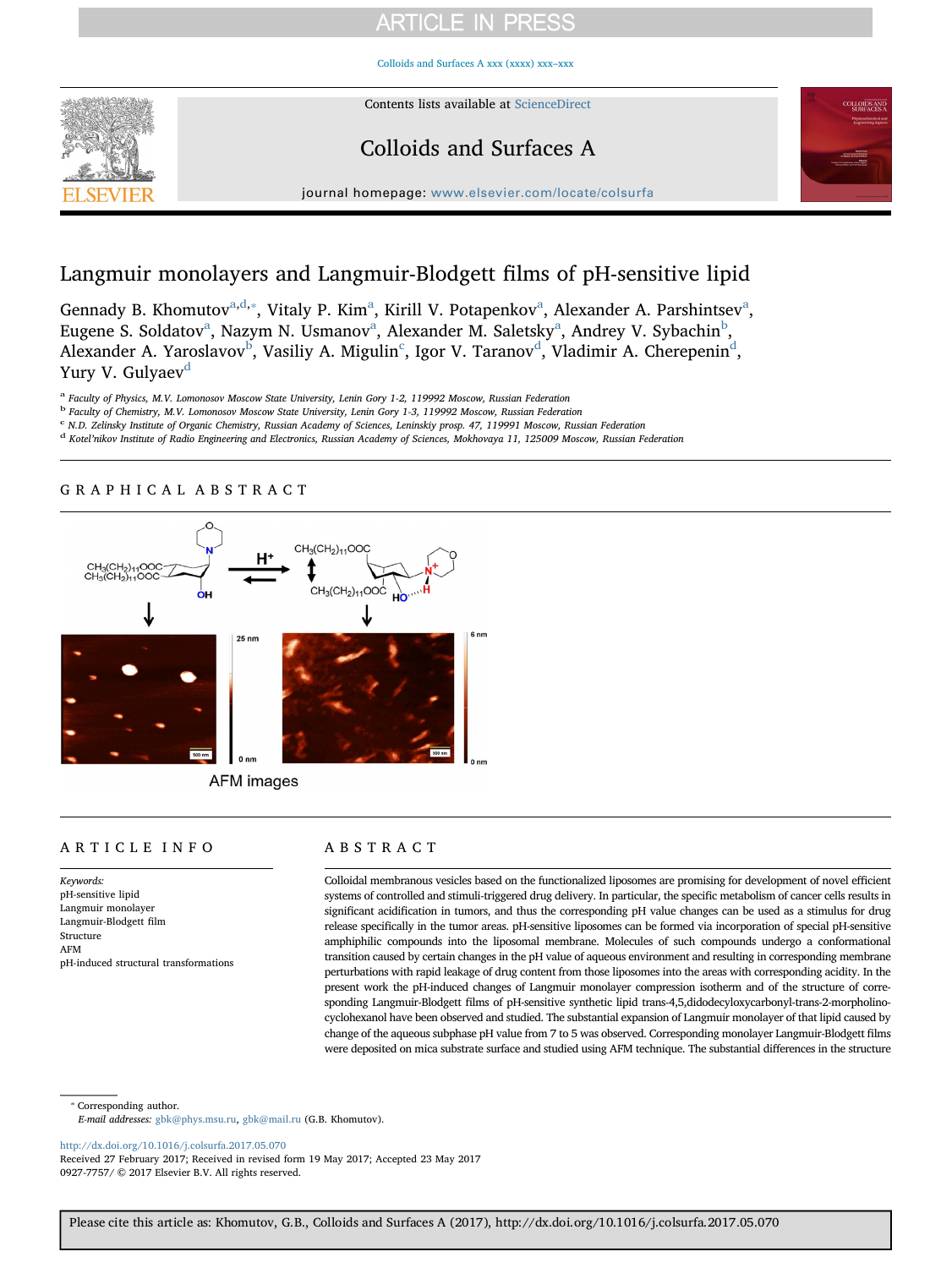# **ARTICLE IN PRESS**

[Colloids and Surfaces A xxx \(xxxx\) xxx–xxx](http://dx.doi.org/10.1016/j.colsurfa.2017.05.070)



Contents lists available at [ScienceDirect](http://www.sciencedirect.com/science/journal/09277757)

## Colloids and Surfaces A



journal homepage: [www.elsevier.com/locate/colsurfa](http://www.elsevier.com/locate/colsurfa)

# Langmuir monolayers and Langmuir-Blodgett films of pH-sensitive lipid

Genn[a](#page-0-0)dy B. Khomutov<sup>a[,d,](#page-0-1)\*</sup>, Vitaly P. Kim<sup>a</sup>, Kirill V. Potapenkov<sup>a</sup>, Alexander A. Parshintsev<sup>a</sup>, Eugene S. Sold[a](#page-0-0)tov<sup>a</sup>, Nazym N. Usmanov<sup>a</sup>, Alexander M. Saletsky<sup>a</sup>, Andrey V. Sy[b](#page-0-3)achin<sup>b</sup>, Alexander A. Yaroslavov<sup>[b](#page-0-3)</sup>, Vasiliy A. Migulin<sup>[c](#page-0-4)</sup>, Igor V. Taranov<sup>[d](#page-0-1)</sup>, Vladimir A. Cherepenin<sup>d</sup>, Yury V. Gulyaev<sup>[d](#page-0-1)</sup>

<span id="page-0-0"></span>a Faculty of Physics, M.V. Lomonosov Moscow State University, Lenin Gory 1-2, 119992 Moscow, Russian Federation

<span id="page-0-3"></span><sup>b</sup> Faculty of Chemistry, M.V. Lomonosov Moscow State University, Lenin Gory 1-3, 119992 Moscow, Russian Federation

<span id="page-0-4"></span><sup>c</sup> N.D. Zelinsky Institute of Organic Chemistry, Russian Academy of Sciences, Leninskiy prosp. 47, 119991 Moscow, Russian Federation

<span id="page-0-1"></span><sup>d</sup> Kotel'nikov Institute of Radio Engineering and Electronics, Russian Academy of Sciences, Mokhovaya 11, 125009 Moscow, Russian Federation

### GRAPHICAL ABSTRACT



AFM images

### ARTICLE INFO

Keywords: pH-sensitive lipid Langmuir monolayer Langmuir-Blodgett film Structure AFM pH-induced structural transformations

### ABSTRACT

Colloidal membranous vesicles based on the functionalized liposomes are promising for development of novel efficient systems of controlled and stimuli-triggered drug delivery. In particular, the specific metabolism of cancer cells results in significant acidification in tumors, and thus the corresponding pH value changes can be used as a stimulus for drug release specifically in the tumor areas. pH-sensitive liposomes can be formed via incorporation of special pH-sensitive amphiphilic compounds into the liposomal membrane. Molecules of such compounds undergo a conformational transition caused by certain changes in the pH value of aqueous environment and resulting in corresponding membrane perturbations with rapid leakage of drug content from those liposomes into the areas with corresponding acidity. In the present work the pH-induced changes of Langmuir monolayer compression isotherm and of the structure of corresponding Langmuir-Blodgett films of pH-sensitive synthetic lipid trans-4,5,didodecyloxycarbonyl-trans-2-morpholinocyclohexanol have been observed and studied. The substantial expansion of Langmuir monolayer of that lipid caused by change of the aqueous subphase pH value from 7 to 5 was observed. Corresponding monolayer Langmuir-Blodgett films were deposited on mica substrate surface and studied using AFM technique. The substantial differences in the structure

<span id="page-0-2"></span>⁎ Corresponding author.

E-mail addresses: [gbk@phys.msu.ru,](mailto:gbk@phys.msu.ru) [gbk@mail.ru](mailto:gbk@mail.ru) (G.B. Khomutov).

<http://dx.doi.org/10.1016/j.colsurfa.2017.05.070>

Received 27 February 2017; Received in revised form 19 May 2017; Accepted 23 May 2017 0927-7757/ © 2017 Elsevier B.V. All rights reserved.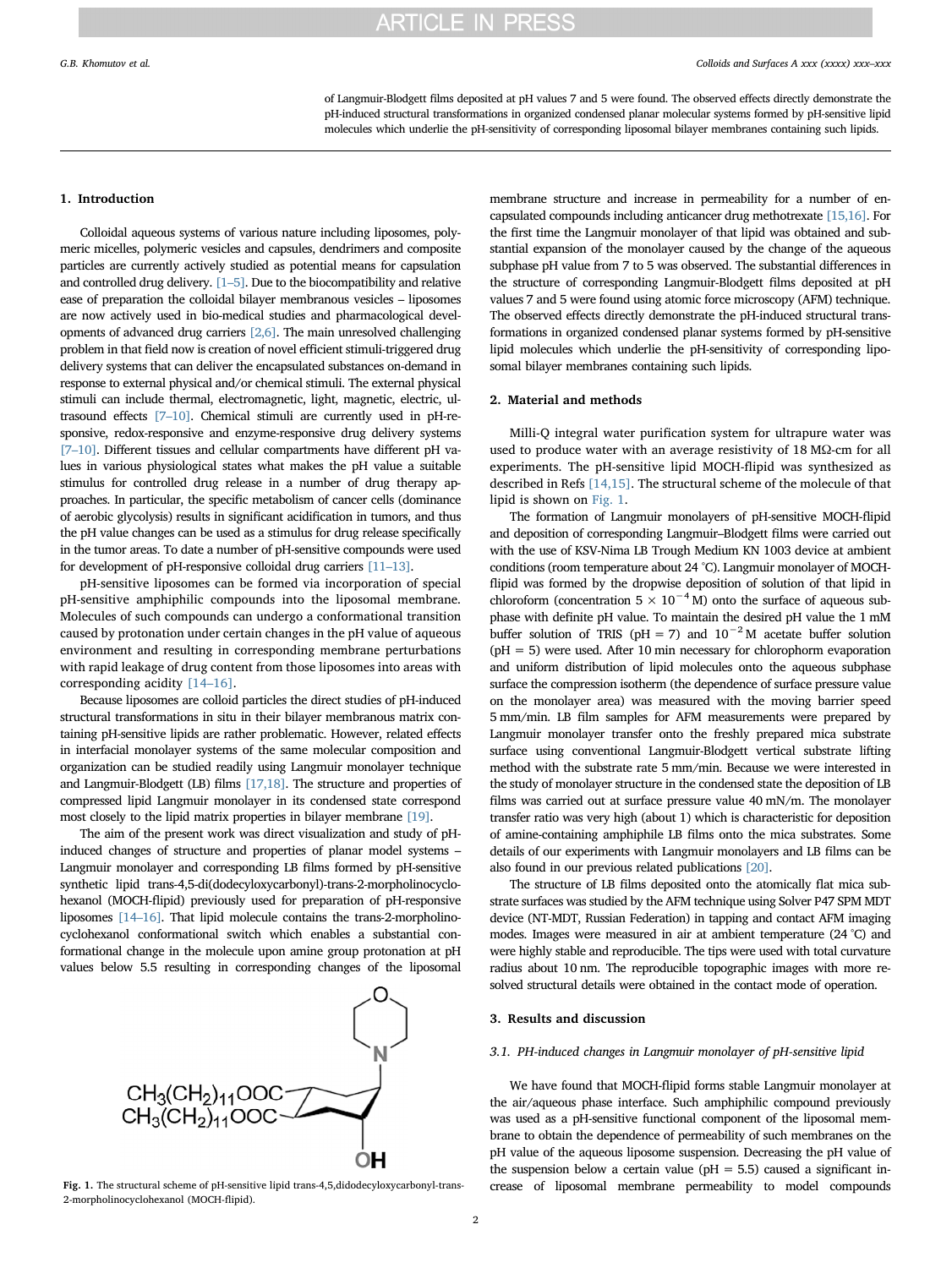of Langmuir-Blodgett films deposited at pH values 7 and 5 were found. The observed effects directly demonstrate the pH-induced structural transformations in organized condensed planar molecular systems formed by pH-sensitive lipid molecules which underlie the pH-sensitivity of corresponding liposomal bilayer membranes containing such lipids.

#### 1. Introduction

Colloidal aqueous systems of various nature including liposomes, polymeric micelles, polymeric vesicles and capsules, dendrimers and composite particles are currently actively studied as potential means for capsulation and controlled drug delivery. [\[1](#page-4-0)–5]. Due to the biocompatibility and relative ease of preparation the colloidal bilayer membranous vesicles – liposomes are now actively used in bio-medical studies and pharmacological developments of advanced drug carriers [\[2,6\].](#page-4-1) The main unresolved challenging problem in that field now is creation of novel efficient stimuli-triggered drug delivery systems that can deliver the encapsulated substances on-demand in response to external physical and/or chemical stimuli. The external physical stimuli can include thermal, electromagnetic, light, magnetic, electric, ultrasound effects [7–[10\]](#page-4-2). Chemical stimuli are currently used in pH-responsive, redox-responsive and enzyme-responsive drug delivery systems [7–[10\]](#page-4-2). Different tissues and cellular compartments have different pH values in various physiological states what makes the pH value a suitable stimulus for controlled drug release in a number of drug therapy approaches. In particular, the specific metabolism of cancer cells (dominance of aerobic glycolysis) results in significant acidification in tumors, and thus the pH value changes can be used as a stimulus for drug release specifically in the tumor areas. To date a number of pH-sensitive compounds were used for development of pH-responsive colloidal drug carriers [\[11](#page-4-3)–13].

pH-sensitive liposomes can be formed via incorporation of special pH-sensitive amphiphilic compounds into the liposomal membrane. Molecules of such compounds can undergo a conformational transition caused by protonation under certain changes in the pH value of aqueous environment and resulting in corresponding membrane perturbations with rapid leakage of drug content from those liposomes into areas with corresponding acidity [14–[16\].](#page-4-4)

Because liposomes are colloid particles the direct studies of pH-induced structural transformations in situ in their bilayer membranous matrix containing pH-sensitive lipids are rather problematic. However, related effects in interfacial monolayer systems of the same molecular composition and organization can be studied readily using Langmuir monolayer technique and Langmuir-Blodgett (LB) films [\[17,18\].](#page-4-5) The structure and properties of compressed lipid Langmuir monolayer in its condensed state correspond most closely to the lipid matrix properties in bilayer membrane [\[19\]](#page-4-6).

The aim of the present work was direct visualization and study of pHinduced changes of structure and properties of planar model systems – Langmuir monolayer and corresponding LB films formed by pH-sensitive synthetic lipid trans-4,5-di(dodecyloxycarbonyl)-trans-2-morpholinocyclohexanol (MOCH-flipid) previously used for preparation of pH-responsive liposomes [\[14](#page-4-4)–16]. That lipid molecule contains the trans-2-morpholinocyclohexanol conformational switch which enables a substantial conformational change in the molecule upon amine group protonation at pH values below 5.5 resulting in corresponding changes of the liposomal

<span id="page-1-0"></span>

2-morpholinocyclohexanol (MOCH-flipid).

membrane structure and increase in permeability for a number of encapsulated compounds including anticancer drug methotrexate [\[15,16\]](#page-4-7). For the first time the Langmuir monolayer of that lipid was obtained and substantial expansion of the monolayer caused by the change of the aqueous subphase pH value from 7 to 5 was observed. The substantial differences in the structure of corresponding Langmuir-Blodgett films deposited at pH values 7 and 5 were found using atomic force microscopy (AFM) technique. The observed effects directly demonstrate the pH-induced structural transformations in organized condensed planar systems formed by pH-sensitive lipid molecules which underlie the pH-sensitivity of corresponding liposomal bilayer membranes containing such lipids.

#### 2. Material and methods

Milli-Q integral water purification system for ultrapure water was used to produce water with an average resistivity of 18 MΩ-cm for all experiments. The pH-sensitive lipid MOCH-flipid was synthesized as described in Refs [\[14,15\].](#page-4-4) The structural scheme of the molecule of that lipid is shown on [Fig. 1.](#page-1-0)

The formation of Langmuir monolayers of pH-sensitive MOCH-flipid and deposition of corresponding Langmuir–Blodgett films were carried out with the use of KSV-Nima LB Trough Medium KN 1003 device at ambient conditions (room temperature about 24 °C). Langmuir monolayer of MOCHflipid was formed by the dropwise deposition of solution of that lipid in chloroform (concentration  $5 \times 10^{-4}$  M) onto the surface of aqueous subphase with definite pH value. To maintain the desired pH value the 1 mM buffer solution of TRIS (pH = 7) and  $10^{-2}$  M acetate buffer solution  $(pH = 5)$  were used. After 10 min necessary for chlorophorm evaporation and uniform distribution of lipid molecules onto the aqueous subphase surface the compression isotherm (the dependence of surface pressure value on the monolayer area) was measured with the moving barrier speed 5 mm/min. LB film samples for AFM measurements were prepared by Langmuir monolayer transfer onto the freshly prepared mica substrate surface using conventional Langmuir-Blodgett vertical substrate lifting method with the substrate rate 5 mm/min. Because we were interested in the study of monolayer structure in the condensed state the deposition of LB films was carried out at surface pressure value 40 mN/m. The monolayer transfer ratio was very high (about 1) which is characteristic for deposition of amine-containing amphiphile LB films onto the mica substrates. Some details of our experiments with Langmuir monolayers and LB films can be also found in our previous related publications [\[20\]](#page-4-8).

The structure of LB films deposited onto the atomically flat mica substrate surfaces was studied by the AFM technique using Solver P47 SPM MDT device (NT-MDT, Russian Federation) in tapping and contact AFM imaging modes. Images were measured in air at ambient temperature (24 °C) and were highly stable and reproducible. The tips were used with total curvature radius about 10 nm. The reproducible topographic images with more resolved structural details were obtained in the contact mode of operation.

#### 3. Results and discussion

#### <span id="page-1-1"></span>3.1. PH-induced changes in Langmuir monolayer of pH-sensitive lipid

We have found that MOCH-flipid forms stable Langmuir monolayer at the air/aqueous phase interface. Such amphiphilic compound previously was used as a pH-sensitive functional component of the liposomal membrane to obtain the dependence of permeability of such membranes on the pH value of the aqueous liposome suspension. Decreasing the pH value of the suspension below a certain value ( $pH = 5.5$ ) caused a significant in-Fig. 1. The structural scheme of pH-sensitive lipid trans-4,5,didodecyloxycarbonyl-trans- crease of liposomal membrane permeability to model compounds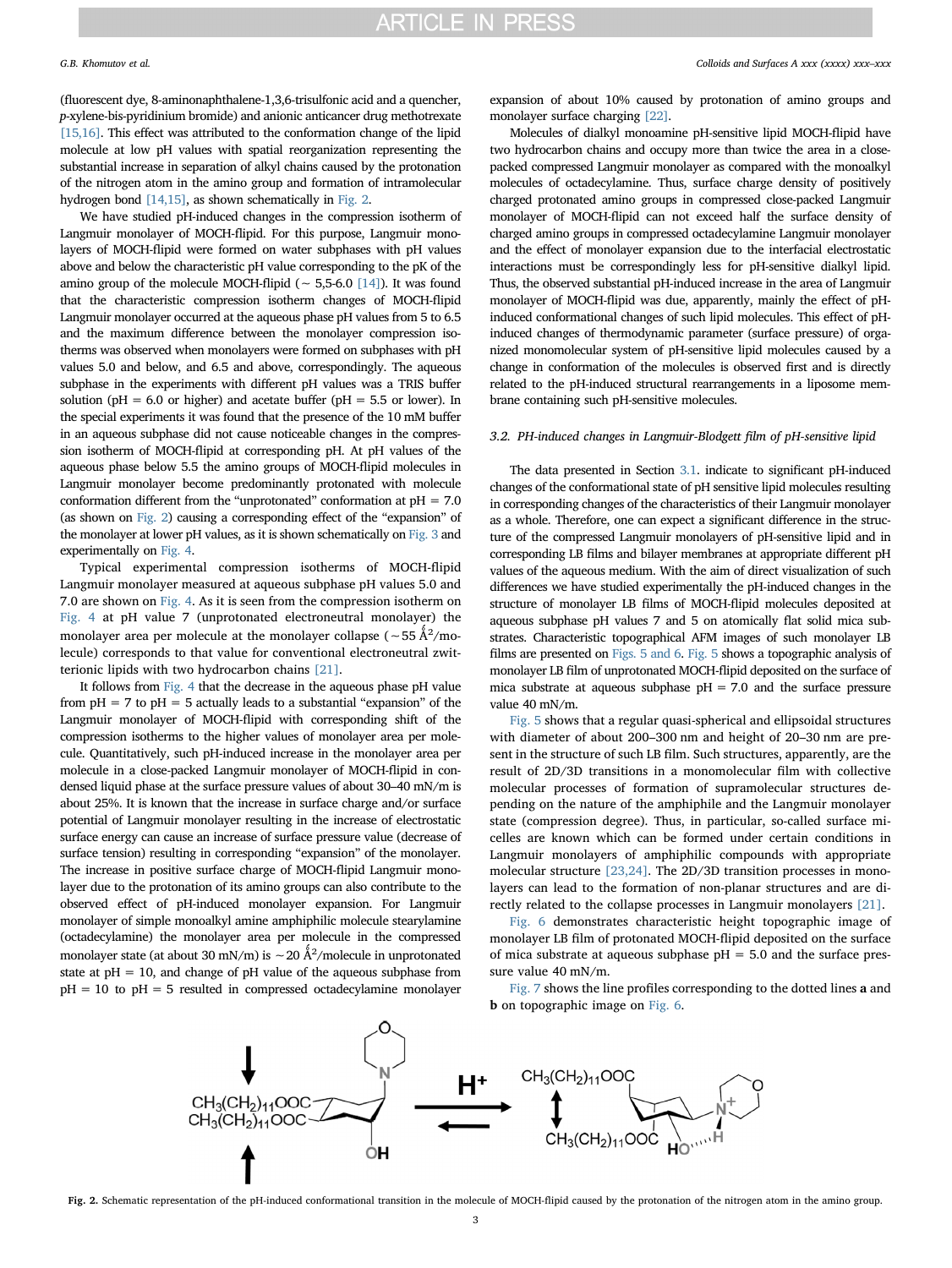(fluorescent dye, 8-aminonaphthalene-1,3,6-trisulfonic acid and a quencher, p-xylene-bis-pyridinium bromide) and anionic anticancer drug methotrexate [\[15,16\].](#page-4-7) This effect was attributed to the conformation change of the lipid molecule at low pH values with spatial reorganization representing the substantial increase in separation of alkyl chains caused by the protonation of the nitrogen atom in the amino group and formation of intramolecular hydrogen bond [\[14,15\]](#page-4-4), as shown schematically in [Fig. 2.](#page-2-0)

We have studied pH-induced changes in the compression isotherm of Langmuir monolayer of MOCH-flipid. For this purpose, Langmuir monolayers of MOCH-flipid were formed on water subphases with pH values above and below the characteristic pH value corresponding to the pK of the amino group of the molecule MOCH-flipid ( $~ 5.5-6.0$  [\[14\]](#page-4-4)). It was found that the characteristic compression isotherm changes of MOCH-flipid Langmuir monolayer occurred at the aqueous phase pH values from 5 to 6.5 and the maximum difference between the monolayer compression isotherms was observed when monolayers were formed on subphases with pH values 5.0 and below, and 6.5 and above, correspondingly. The aqueous subphase in the experiments with different pH values was a TRIS buffer solution ( $pH = 6.0$  or higher) and acetate buffer ( $pH = 5.5$  or lower). In the special experiments it was found that the presence of the 10 mM buffer in an aqueous subphase did not cause noticeable changes in the compression isotherm of MOCH-flipid at corresponding pH. At pH values of the aqueous phase below 5.5 the amino groups of MOCH-flipid molecules in Langmuir monolayer become predominantly protonated with molecule conformation different from the "unprotonated" conformation at  $pH = 7.0$ (as shown on [Fig. 2](#page-2-0)) causing a corresponding effect of the "expansion" of the monolayer at lower pH values, as it is shown schematically on [Fig. 3](#page-3-0) and experimentally on [Fig. 4.](#page-3-1)

Typical experimental compression isotherms of MOCH-flipid Langmuir monolayer measured at aqueous subphase pH values 5.0 and 7.0 are shown on [Fig. 4](#page-3-1). As it is seen from the compression isotherm on [Fig. 4](#page-3-1) at pH value 7 (unprotonated electroneutral monolayer) the monolayer area per molecule at the monolayer collapse (~55 Å $^2$ /molecule) corresponds to that value for conventional electroneutral zwitterionic lipids with two hydrocarbon chains [\[21\]](#page-4-9).

It follows from [Fig. 4](#page-3-1) that the decrease in the aqueous phase pH value from  $pH = 7$  to  $pH = 5$  actually leads to a substantial "expansion" of the Langmuir monolayer of MOCH-flipid with corresponding shift of the compression isotherms to the higher values of monolayer area per molecule. Quantitatively, such pH-induced increase in the monolayer area per molecule in a close-packed Langmuir monolayer of MOCH-flipid in condensed liquid phase at the surface pressure values of about 30–40 mN/m is about 25%. It is known that the increase in surface charge and/or surface potential of Langmuir monolayer resulting in the increase of electrostatic surface energy can cause an increase of surface pressure value (decrease of surface tension) resulting in corresponding "expansion" of the monolayer. The increase in positive surface charge of MOCH-flipid Langmuir monolayer due to the protonation of its amino groups can also contribute to the observed effect of pH-induced monolayer expansion. For Langmuir monolayer of simple monoalkyl amine amphiphilic molecule stearylamine (octadecylamine) the monolayer area per molecule in the compressed monolayer state (at about 30 mN/m) is ∼20 Å<sup>2</sup>/molecule in unprotonated state at  $pH = 10$ , and change of  $pH$  value of the aqueous subphase from  $pH = 10$  to  $pH = 5$  resulted in compressed octadecylamine monolayer

expansion of about 10% caused by protonation of amino groups and monolayer surface charging [\[22\]](#page-4-10).

Molecules of dialkyl monoamine pH-sensitive lipid MOCH-flipid have two hydrocarbon chains and occupy more than twice the area in a closepacked compressed Langmuir monolayer as compared with the monoalkyl molecules of octadecylamine. Thus, surface charge density of positively charged protonated amino groups in compressed close-packed Langmuir monolayer of MOCH-flipid can not exceed half the surface density of charged amino groups in compressed octadecylamine Langmuir monolayer and the effect of monolayer expansion due to the interfacial electrostatic interactions must be correspondingly less for pH-sensitive dialkyl lipid. Thus, the observed substantial pH-induced increase in the area of Langmuir monolayer of MOCH-flipid was due, apparently, mainly the effect of pHinduced conformational changes of such lipid molecules. This effect of pHinduced changes of thermodynamic parameter (surface pressure) of organized monomolecular system of pH-sensitive lipid molecules caused by a change in conformation of the molecules is observed first and is directly related to the pH-induced structural rearrangements in a liposome membrane containing such pH-sensitive molecules.

#### 3.2. PH-induced changes in Langmuir-Blodgett film of pH-sensitive lipid

The data presented in Section [3.1](#page-1-1). indicate to significant pH-induced changes of the conformational state of pH sensitive lipid molecules resulting in corresponding changes of the characteristics of their Langmuir monolayer as a whole. Therefore, one can expect a significant difference in the structure of the compressed Langmuir monolayers of pH-sensitive lipid and in corresponding LB films and bilayer membranes at appropriate different pH values of the aqueous medium. With the aim of direct visualization of such differences we have studied experimentally the pH-induced changes in the structure of monolayer LB films of MOCH-flipid molecules deposited at aqueous subphase pH values 7 and 5 on atomically flat solid mica substrates. Characteristic topographical AFM images of such monolayer LB films are presented on [Figs. 5 and 6](#page-3-2). [Fig. 5](#page-3-2) shows a topographic analysis of monolayer LB film of unprotonated MOCH-flipid deposited on the surface of mica substrate at aqueous subphase  $pH = 7.0$  and the surface pressure value 40 mN/m.

[Fig. 5](#page-3-2) shows that a regular quasi-spherical and ellipsoidal structures with diameter of about 200–300 nm and height of 20–30 nm are present in the structure of such LB film. Such structures, apparently, are the result of 2D/3D transitions in a monomolecular film with collective molecular processes of formation of supramolecular structures depending on the nature of the amphiphile and the Langmuir monolayer state (compression degree). Thus, in particular, so-called surface micelles are known which can be formed under certain conditions in Langmuir monolayers of amphiphilic compounds with appropriate molecular structure [\[23,24\].](#page-4-11) The 2D/3D transition processes in monolayers can lead to the formation of non-planar structures and are directly related to the collapse processes in Langmuir monolayers [\[21\].](#page-4-9)

[Fig. 6](#page-3-3) demonstrates characteristic height topographic image of monolayer LB film of protonated MOCH-flipid deposited on the surface of mica substrate at aqueous subphase  $pH = 5.0$  and the surface pressure value 40 mN/m.

[Fig. 7](#page-4-12) shows the line profiles corresponding to the dotted lines a and b on topographic image on [Fig. 6](#page-3-3).

<span id="page-2-0"></span>

Fig. 2. Schematic representation of the pH-induced conformational transition in the molecule of MOCH-flipid caused by the protonation of the nitrogen atom in the amino group.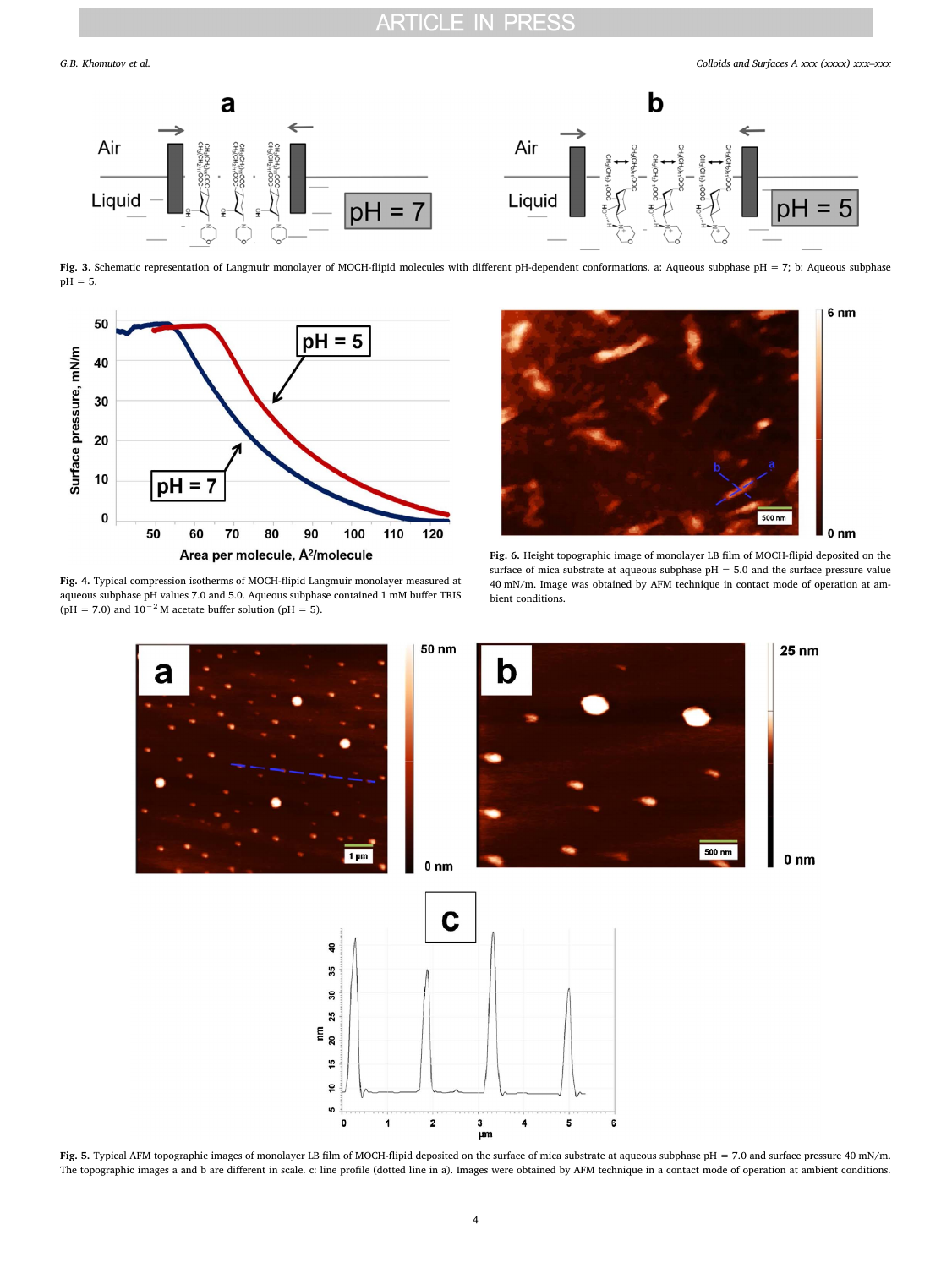<span id="page-3-0"></span>

Fig. 3. Schematic representation of Langmuir monolayer of MOCH-flipid molecules with different pH-dependent conformations. a: Aqueous subphase pH = 7; b: Aqueous subphase pH = 5.

<span id="page-3-1"></span>

Fig. 4. Typical compression isotherms of MOCH-flipid Langmuir monolayer measured at aqueous subphase pH values 7.0 and 5.0. Aqueous subphase contained 1 mM buffer TRIS (pH = 7.0) and  $10^{-2}$  M acetate buffer solution (pH = 5).

<span id="page-3-3"></span>

Fig. 6. Height topographic image of monolayer LB film of MOCH-flipid deposited on the surface of mica substrate at aqueous subphase pH = 5.0 and the surface pressure value 40 mN/m. Image was obtained by AFM technique in contact mode of operation at ambient conditions.

<span id="page-3-2"></span>

Fig. 5. Typical AFM topographic images of monolayer LB film of MOCH-flipid deposited on the surface of mica substrate at aqueous subphase pH = 7.0 and surface pressure 40 mN/m. The topographic images a and b are different in scale. c: line profile (dotted line in a). Images were obtained by AFM technique in a contact mode of operation at ambient conditions.